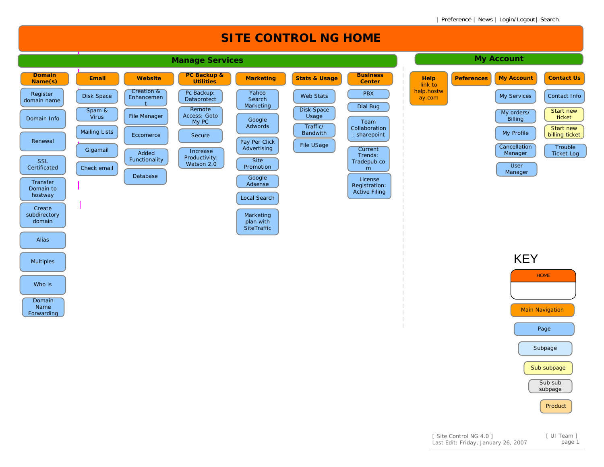

Sub subpage

Sub subsubpage

Product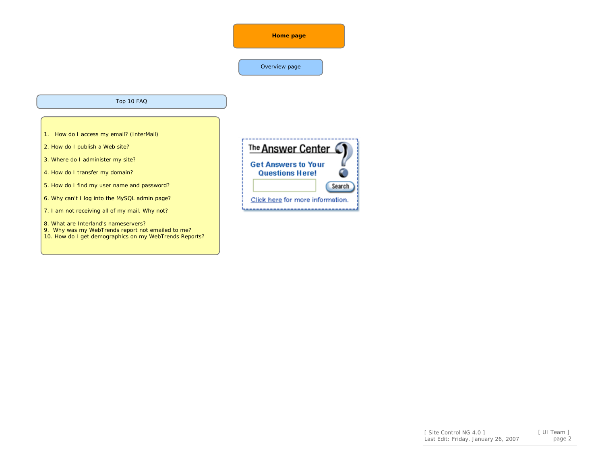## Overview page

## Top 10 FAQ

- 1. How do I access my email? (InterMail)
- 2. How do I publish a Web site?
- 3. Where do I administer my site?
- 4. How do I transfer my domain?
- 5. How do I find my user name and password?
- 6. Why can't I log into the MySQL admin page?
- 7. I am not receiving all of my mail. Why not?
- 8. What are Interland's nameservers?
- 9. Why was my WebTrends report not emailed to me? 10. How do I get demographics on my WebTrends Reports?

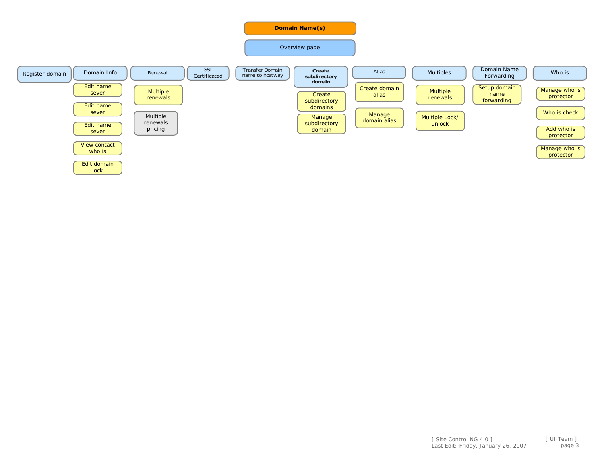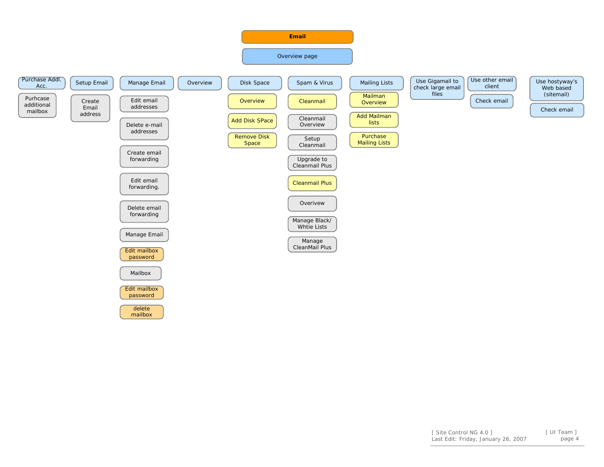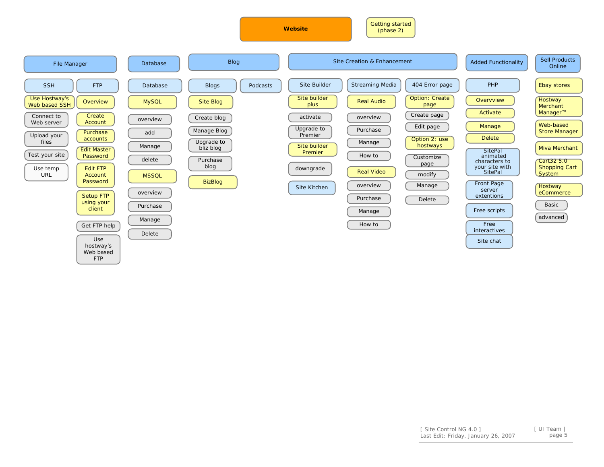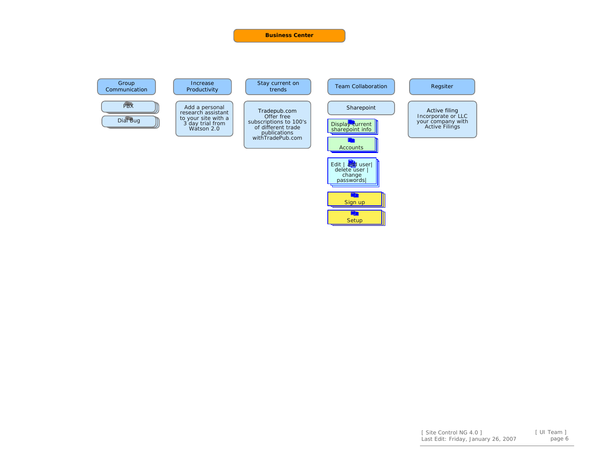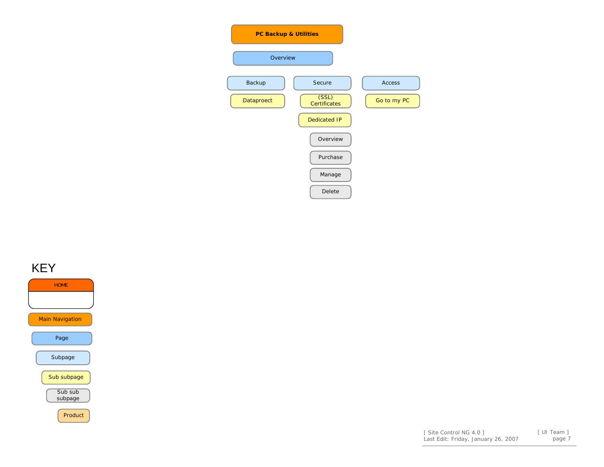| <b>PC Backup &amp; Utilities</b>           |               |
|--------------------------------------------|---------------|
| Overview                                   |               |
| Backup<br>Secure                           | <b>Access</b> |
| (SSL)<br>Dataproect<br><b>Certificates</b> | Go to my PC   |
| <b>Dedicated IP</b>                        |               |
| Overview                                   |               |
| Purchase                                   |               |
| Manage                                     |               |
| Delete                                     |               |

## KEY



| [ Site Control NG 4.0 ]             | 「 UI Team 1 |
|-------------------------------------|-------------|
| Last Edit: Friday, January 26, 2007 | page 7      |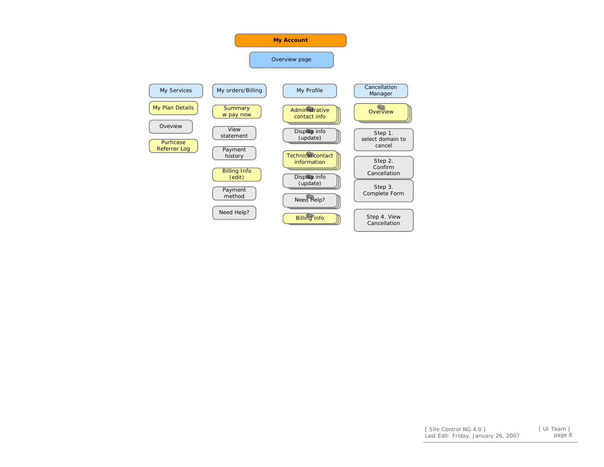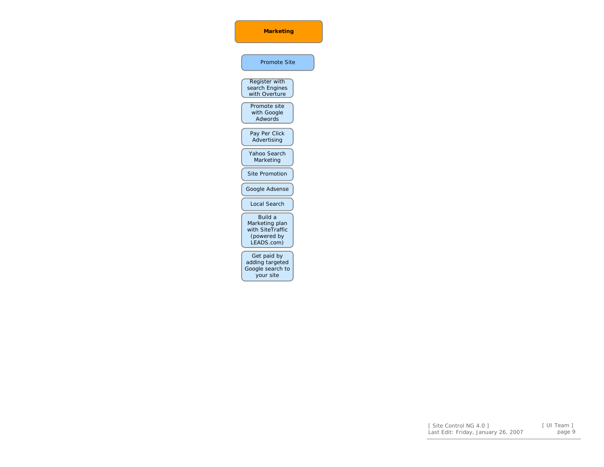